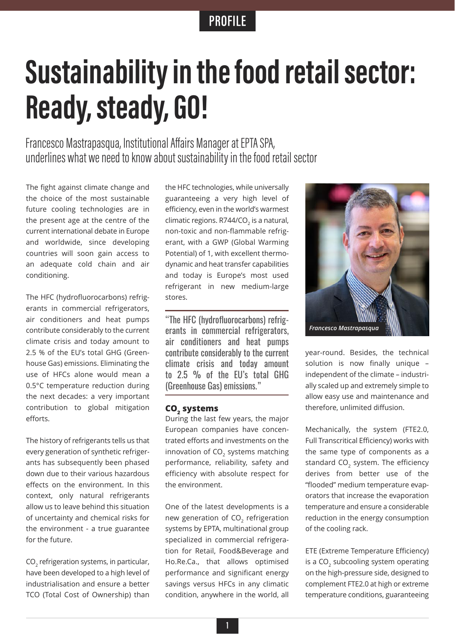## **PROFILE**

# **Sustainability in the food retail sector: Ready, steady, GO!**

Francesco Mastrapasqua, Institutional Affairs Manager at EPTA SPA, underlines what we need to know about sustainability in the food retail sector

The fight against climate change and the choice of the most sustainable future cooling technologies are in the present age at the centre of the current international debate in Europe and worldwide, since developing countries will soon gain access to an adequate cold chain and air conditioning.

The HFC (hydrofluorocarbons) refrigerants in commercial refrigerators, air conditioners and heat pumps contribute considerably to the current climate crisis and today amount to 2.5 % of the EU's total GHG (Greenhouse Gas) emissions. Eliminating the use of HFCs alone would mean a 0.5°C temperature reduction during the next decades: a very important contribution to global mitigation efforts.

The history of refrigerants tells us that every generation of synthetic refrigerants has subsequently been phased down due to their various hazardous effects on the environment. In this context, only natural refrigerants allow us to leave behind this situation of uncertainty and chemical risks for the environment - a true guarantee for the future.

CO<sub>2</sub> refrigeration systems, in particular, have been developed to a high level of industrialisation and ensure a better TCO (Total Cost of Ownership) than the HFC technologies, while universally guaranteeing a very high level of efficiency, even in the world's warmest climatic regions. R744/CO<sub>2</sub> is a natural, non-toxic and non-flammable refrigerant, with a GWP (Global Warming Potential) of 1, with excellent thermodynamic and heat transfer capabilities and today is Europe's most used refrigerant in new medium-large stores.

"The HFC (hydrofluorocarbons) refrigerants in commercial refrigerators, air conditioners and heat pumps contribute considerably to the current climate crisis and today amount to 2.5 % of the EU's total GHG (Greenhouse Gas) emissions."

### **CO2 systems**

During the last few years, the major European companies have concentrated efforts and investments on the innovation of  $CO<sub>2</sub>$  systems matching performance, reliability, safety and efficiency with absolute respect for the environment.

One of the latest developments is a new generation of  $CO<sub>2</sub>$  refrigeration systems by EPTA, multinational group specialized in commercial refrigeration for Retail, Food&Beverage and Ho.Re.Ca., that allows optimised performance and significant energy savings versus HFCs in any climatic condition, anywhere in the world, all



year-round. Besides, the technical solution is now finally unique – independent of the climate – industrially scaled up and extremely simple to allow easy use and maintenance and therefore, unlimited diffusion.

Mechanically, the system (FTE2.0, Full Transcritical Efficiency) works with the same type of components as a standard  $CO<sub>2</sub>$  system. The efficiency derives from better use of the "flooded" medium temperature evaporators that increase the evaporation temperature and ensure a considerable reduction in the energy consumption of the cooling rack.

ETE (Extreme Temperature Efficiency) is a  $CO<sub>2</sub>$  subcooling system operating on the high-pressure side, designed to complement FTE2.0 at high or extreme temperature conditions, guaranteeing